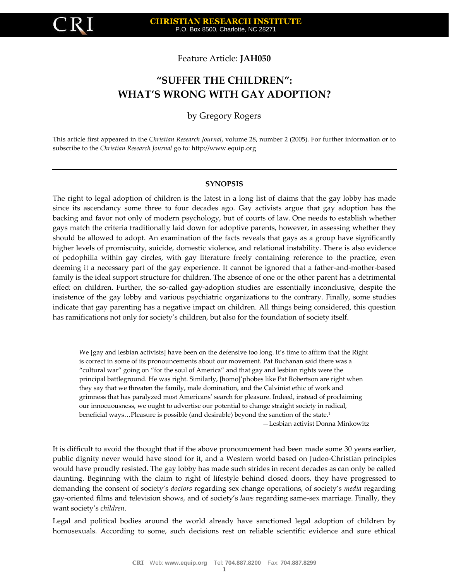

# Feature Article: **JAH050**

# **"SUFFER THE CHILDREN": WHAT'S WRONG WITH GAY ADOPTION?**

# by Gregory Rogers

This article first appeared in the *Christian Research Journal*, volume 28, number 2 (2005). For further information or to subscribe to the *Christian Research Journal* go to: [http://www.equip.org](http://www.equip.org/)

#### **SYNOPSIS**

The right to legal adoption of children is the latest in a long list of claims that the gay lobby has made since its ascendancy some three to four decades ago. Gay activists argue that gay adoption has the backing and favor not only of modern psychology, but of courts of law. One needs to establish whether gays match the criteria traditionally laid down for adoptive parents, however, in assessing whether they should be allowed to adopt. An examination of the facts reveals that gays as a group have significantly higher levels of promiscuity, suicide, domestic violence, and relational instability. There is also evidence of pedophilia within gay circles, with gay literature freely containing reference to the practice, even deeming it a necessary part of the gay experience. It cannot be ignored that a father-and-mother-based family is the ideal support structure for children. The absence of one or the other parent has a detrimental effect on children. Further, the so-called gay-adoption studies are essentially inconclusive, despite the insistence of the gay lobby and various psychiatric organizations to the contrary. Finally, some studies indicate that gay parenting has a negative impact on children. All things being considered, this question has ramifications not only for society's children, but also for the foundation of society itself.

We [gay and lesbian activists] have been on the defensive too long. It's time to affirm that the Right is correct in some of its pronouncements about our movement. Pat Buchanan said there was a "cultural war" going on "for the soul of America" and that gay and lesbian rights were the principal battleground. He was right. Similarly, [homo]'phobes like Pat Robertson are right when they say that we threaten the family, male domination, and the Calvinist ethic of work and grimness that has paralyzed most Americans' search for pleasure. Indeed, instead of proclaiming our innocuousness, we ought to advertise our potential to change straight society in radical, beneficial ways...Pleasure is possible (and desirable) beyond the sanction of the state.<sup>1</sup>

—Lesbian activist Donna Minkowitz

It is difficult to avoid the thought that if the above pronouncement had been made some 30 years earlier, public dignity never would have stood for it, and a Western world based on Judeo-Christian principles would have proudly resisted. The gay lobby has made such strides in recent decades as can only be called daunting. Beginning with the claim to right of lifestyle behind closed doors, they have progressed to demanding the consent of society's *doctors* regarding sex change operations, of society's *media* regarding gay-oriented films and television shows, and of society's *laws* regarding same-sex marriage. Finally, they want society's *children*.

Legal and political bodies around the world already have sanctioned legal adoption of children by homosexuals. According to some, such decisions rest on reliable scientific evidence and sure ethical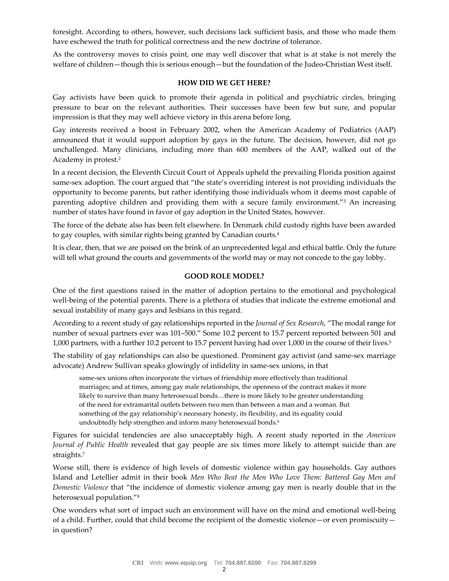foresight. According to others, however, such decisions lack sufficient basis, and those who made them have eschewed the truth for political correctness and the new doctrine of tolerance.

As the controversy moves to crisis point, one may well discover that what is at stake is not merely the welfare of children—though this is serious enough—but the foundation of the Judeo-Christian West itself.

#### **HOW DID WE GET HERE?**

Gay activists have been quick to promote their agenda in political and psychiatric circles, bringing pressure to bear on the relevant authorities. Their successes have been few but sure, and popular impression is that they may well achieve victory in this arena before long.

Gay interests received a boost in February 2002, when the American Academy of Pediatrics (AAP) announced that it would support adoption by gays in the future. The decision, however, did not go unchallenged. Many clinicians, including more than 600 members of the AAP, walked out of the Academy in protest.<sup>2</sup>

In a recent decision, the Eleventh Circuit Court of Appeals upheld the prevailing Florida position against same-sex adoption. The court argued that "the state's overriding interest is not providing individuals the opportunity to become parents, but rather identifying those individuals whom it deems most capable of parenting adoptive children and providing them with a secure family environment."<sup>3</sup> An increasing number of states have found in favor of gay adoption in the United States, however.

The force of the debate also has been felt elsewhere. In Denmark child custody rights have been awarded to gay couples, with similar rights being granted by Canadian courts.<sup>4</sup>

It is clear, then, that we are poised on the brink of an unprecedented legal and ethical battle. Only the future will tell what ground the courts and governments of the world may or may not concede to the gay lobby.

### **GOOD ROLE MODEL?**

One of the first questions raised in the matter of adoption pertains to the emotional and psychological well-being of the potential parents. There is a plethora of studies that indicate the extreme emotional and sexual instability of many gays and lesbians in this regard.

According to a recent study of gay relationships reported in the *Journal of Sex Research*, "The modal range for number of sexual partners ever was 101–500." Some 10.2 percent to 15.7 percent reported between 501 and 1,000 partners, with a further 10.2 percent to 15.7 percent having had over 1,000 in the course of their lives.<sup>5</sup>

The stability of gay relationships can also be questioned. Prominent gay activist (and same-sex marriage advocate) Andrew Sullivan speaks glowingly of infidelity in same-sex unions, in that

same-sex unions often incorporate the virtues of friendship more effectively than traditional marriages; and at times, among gay male relationships, the openness of the contract makes it more likely to survive than many heterosexual bonds…there is more likely to be greater understanding of the need for extramarital outlets between two men than between a man and a woman. But something of the gay relationship's necessary honesty, its flexibility, and its equality could undoubtedly help strengthen and inform many heterosexual bonds.<sup>6</sup>

Figures for suicidal tendencies are also unacceptably high. A recent study reported in the *American Journal of Public Health* revealed that gay people are six times more likely to attempt suicide than are straights.<sup>7</sup>

Worse still, there is evidence of high levels of domestic violence within gay households. Gay authors Island and Letellier admit in their book *Men Who Beat the Men Who Love Them: Battered Gay Men and Domestic Violence* that "the incidence of domestic violence among gay men is nearly double that in the heterosexual population."<sup>8</sup>

One wonders what sort of impact such an environment will have on the mind and emotional well-being of a child. Further, could that child become the recipient of the domestic violence—or even promiscuity in question?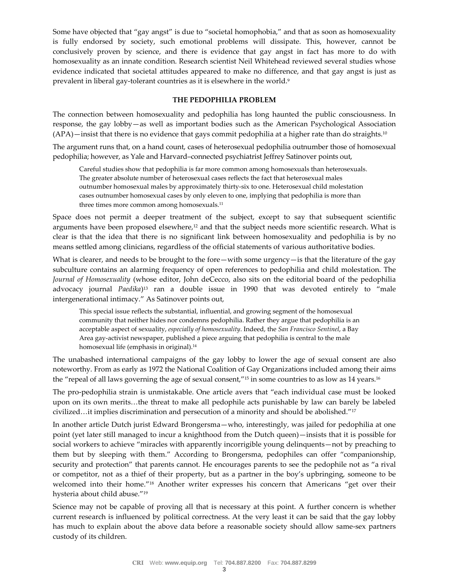Some have objected that "gay angst" is due to "societal homophobia," and that as soon as homosexuality is fully endorsed by society, such emotional problems will dissipate. This, however, cannot be conclusively proven by science, and there is evidence that gay angst in fact has more to do with homosexuality as an innate condition. Research scientist Neil Whitehead reviewed several studies whose evidence indicated that societal attitudes appeared to make no difference, and that gay angst is just as prevalent in liberal gay-tolerant countries as it is elsewhere in the world.<sup>9</sup>

# **THE PEDOPHILIA PROBLEM**

The connection between homosexuality and pedophilia has long haunted the public consciousness. In response, the gay lobby—as well as important bodies such as the American Psychological Association  $(APA)$ —insist that there is no evidence that gays commit pedophilia at a higher rate than do straights.<sup>10</sup>

The argument runs that, on a hand count, cases of heterosexual pedophilia outnumber those of homosexual pedophilia; however, as Yale and Harvard–connected psychiatrist Jeffrey Satinover points out,

Careful studies show that pedophilia is far more common among homosexuals than heterosexuals. The greater absolute number of heterosexual cases reflects the fact that heterosexual males outnumber homosexual males by approximately thirty-six to one. Heterosexual child molestation cases outnumber homosexual cases by only eleven to one, implying that pedophilia is more than three times more common among homosexuals.<sup>11</sup>

Space does not permit a deeper treatment of the subject, except to say that subsequent scientific arguments have been proposed elsewhere,<sup>12</sup> and that the subject needs more scientific research. What is clear is that the idea that there is no significant link between homosexuality and pedophilia is by no means settled among clinicians, regardless of the official statements of various authoritative bodies.

What is clearer, and needs to be brought to the fore—with some urgency—is that the literature of the gay subculture contains an alarming frequency of open references to pedophilia and child molestation. The *Journal of Homosexuality* (whose editor, John deCecco, also sits on the editorial board of the pedophilia advocacy journal *Paedika*) <sup>13</sup> ran a double issue in 1990 that was devoted entirely to "male intergenerational intimacy." As Satinover points out,

This special issue reflects the substantial, influential, and growing segment of the homosexual community that neither hides nor condemns pedophilia. Rather they argue that pedophilia is an acceptable aspect of sexuality, *especially of homosexuality*. Indeed, the *San Francisco Sentinel*, a Bay Area gay-activist newspaper, published a piece arguing that pedophilia is central to the male homosexual life (emphasis in original).<sup>14</sup>

The unabashed international campaigns of the gay lobby to lower the age of sexual consent are also noteworthy. From as early as 1972 the National Coalition of Gay Organizations included among their aims the "repeal of all laws governing the age of sexual consent,"<sup>15</sup> in some countries to as low as 14 years.<sup>16</sup>

The pro-pedophilia strain is unmistakable. One article avers that "each individual case must be looked upon on its own merits…the threat to make all pedophile acts punishable by law can barely be labeled civilized…it implies discrimination and persecution of a minority and should be abolished."<sup>17</sup>

In another article Dutch jurist Edward Brongersma—who, interestingly, was jailed for pedophilia at one point (yet later still managed to incur a knighthood from the Dutch queen)—insists that it is possible for social workers to achieve "miracles with apparently incorrigible young delinquents—not by preaching to them but by sleeping with them." According to Brongersma, pedophiles can offer "companionship, security and protection" that parents cannot. He encourages parents to see the pedophile not as "a rival or competitor, not as a thief of their property, but as a partner in the boy's upbringing, someone to be welcomed into their home."<sup>18</sup> Another writer expresses his concern that Americans "get over their hysteria about child abuse."<sup>19</sup>

Science may not be capable of proving all that is necessary at this point. A further concern is whether current research is influenced by political correctness. At the very least it can be said that the gay lobby has much to explain about the above data before a reasonable society should allow same-sex partners custody of its children.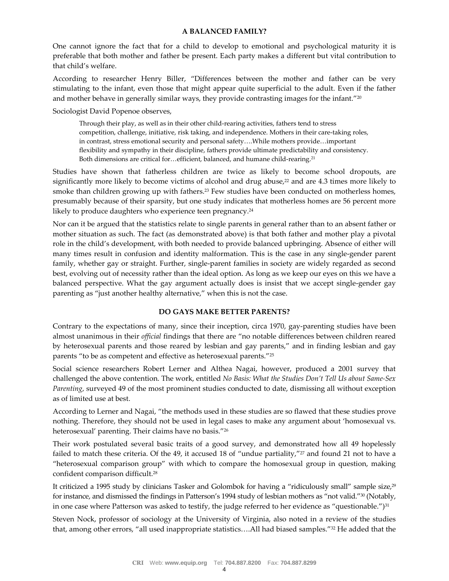### **A BALANCED FAMILY?**

One cannot ignore the fact that for a child to develop to emotional and psychological maturity it is preferable that both mother and father be present. Each party makes a different but vital contribution to that child's welfare.

According to researcher Henry Biller, "Differences between the mother and father can be very stimulating to the infant, even those that might appear quite superficial to the adult. Even if the father and mother behave in generally similar ways, they provide contrasting images for the infant."<sup>20</sup>

Sociologist David Popenoe observes,

Through their play, as well as in their other child-rearing activities, fathers tend to stress competition, challenge, initiative, risk taking, and independence. Mothers in their care-taking roles, in contrast, stress emotional security and personal safety….While mothers provide…important flexibility and sympathy in their discipline, fathers provide ultimate predictability and consistency. Both dimensions are critical for...efficient, balanced, and humane child-rearing.<sup>21</sup>

Studies have shown that fatherless children are twice as likely to become school dropouts, are significantly more likely to become victims of alcohol and drug abuse,<sup>22</sup> and are 4.3 times more likely to smoke than children growing up with fathers.<sup>23</sup> Few studies have been conducted on motherless homes, presumably because of their sparsity, but one study indicates that motherless homes are 56 percent more likely to produce daughters who experience teen pregnancy.<sup>24</sup>

Nor can it be argued that the statistics relate to single parents in general rather than to an absent father or mother situation as such. The fact (as demonstrated above) is that both father and mother play a pivotal role in the child's development, with both needed to provide balanced upbringing. Absence of either will many times result in confusion and identity malformation. This is the case in any single-gender parent family, whether gay or straight. Further, single-parent families in society are widely regarded as second best, evolving out of necessity rather than the ideal option. As long as we keep our eyes on this we have a balanced perspective. What the gay argument actually does is insist that we accept single-gender gay parenting as "just another healthy alternative," when this is not the case.

# **DO GAYS MAKE BETTER PARENTS?**

Contrary to the expectations of many, since their inception, circa 1970, gay-parenting studies have been almost unanimous in their *official* findings that there are "no notable differences between children reared by heterosexual parents and those reared by lesbian and gay parents," and in finding lesbian and gay parents "to be as competent and effective as heterosexual parents."<sup>25</sup>

Social science researchers Robert Lerner and Althea Nagai, however, produced a 2001 survey that challenged the above contention. The work, entitled *No Basis: What the Studies Don't Tell Us about Same-Sex Parenting*, surveyed 49 of the most prominent studies conducted to date, dismissing all without exception as of limited use at best.

According to Lerner and Nagai, "the methods used in these studies are so flawed that these studies prove nothing. Therefore, they should not be used in legal cases to make any argument about 'homosexual vs. heterosexual' parenting. Their claims have no basis."<sup>26</sup>

Their work postulated several basic traits of a good survey, and demonstrated how all 49 hopelessly failed to match these criteria. Of the 49, it accused 18 of "undue partiality," $27$  and found 21 not to have a "heterosexual comparison group" with which to compare the homosexual group in question, making confident comparison difficult.<sup>28</sup>

It criticized a 1995 study by clinicians Tasker and Golombok for having a "ridiculously small" sample size,<sup>29</sup> for instance, and dismissed the findings in Patterson's 1994 study of lesbian mothers as "not valid."<sup>30</sup> (Notably, in one case where Patterson was asked to testify, the judge referred to her evidence as "questionable.")<sup>31</sup>

Steven Nock, professor of sociology at the University of Virginia, also noted in a review of the studies that, among other errors, "all used inappropriate statistics….All had biased samples."<sup>32</sup> He added that the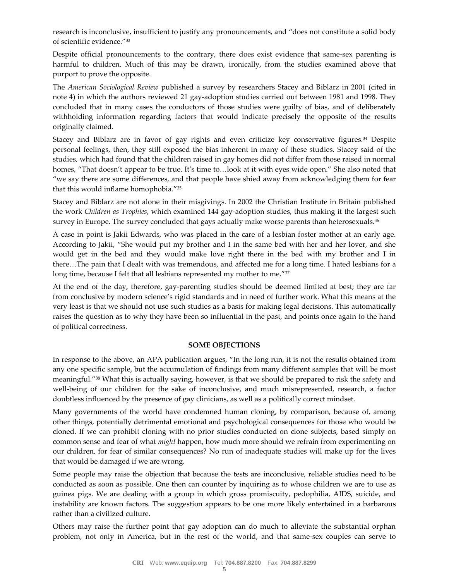research is inconclusive, insufficient to justify any pronouncements, and "does not constitute a solid body of scientific evidence."<sup>33</sup>

Despite official pronouncements to the contrary, there does exist evidence that same-sex parenting is harmful to children. Much of this may be drawn, ironically, from the studies examined above that purport to prove the opposite.

The *American Sociological Review* published a survey by researchers Stacey and Biblarz in 2001 (cited in note 4) in which the authors reviewed 21 gay-adoption studies carried out between 1981 and 1998. They concluded that in many cases the conductors of those studies were guilty of bias, and of deliberately withholding information regarding factors that would indicate precisely the opposite of the results originally claimed.

Stacey and Biblarz are in favor of gay rights and even criticize key conservative figures.<sup>34</sup> Despite personal feelings, then, they still exposed the bias inherent in many of these studies. Stacey said of the studies, which had found that the children raised in gay homes did not differ from those raised in normal homes, "That doesn't appear to be true. It's time to...look at it with eyes wide open." She also noted that "we say there are some differences, and that people have shied away from acknowledging them for fear that this would inflame homophobia."<sup>35</sup>

Stacey and Biblarz are not alone in their misgivings. In 2002 the Christian Institute in Britain published the work *Children as Trophies*, which examined 144 gay-adoption studies, thus making it the largest such survey in Europe. The survey concluded that gays actually make worse parents than heterosexuals.<sup>36</sup>

A case in point is Jakii Edwards, who was placed in the care of a lesbian foster mother at an early age. According to Jakii, "She would put my brother and I in the same bed with her and her lover, and she would get in the bed and they would make love right there in the bed with my brother and I in there…The pain that I dealt with was tremendous, and affected me for a long time. I hated lesbians for a long time, because I felt that all lesbians represented my mother to me."<sup>37</sup>

At the end of the day, therefore, gay-parenting studies should be deemed limited at best; they are far from conclusive by modern science's rigid standards and in need of further work. What this means at the very least is that we should not use such studies as a basis for making legal decisions. This automatically raises the question as to why they have been so influential in the past, and points once again to the hand of political correctness.

# **SOME OBJECTIONS**

In response to the above, an APA publication argues, "In the long run, it is not the results obtained from any one specific sample, but the accumulation of findings from many different samples that will be most meaningful."<sup>38</sup> What this is actually saying, however, is that we should be prepared to risk the safety and well-being of our children for the sake of inconclusive, and much misrepresented, research, a factor doubtless influenced by the presence of gay clinicians, as well as a politically correct mindset.

Many governments of the world have condemned human cloning, by comparison, because of, among other things, potentially detrimental emotional and psychological consequences for those who would be cloned. If we can prohibit cloning with no prior studies conducted on clone subjects, based simply on common sense and fear of what *might* happen, how much more should we refrain from experimenting on our children, for fear of similar consequences? No run of inadequate studies will make up for the lives that would be damaged if we are wrong.

Some people may raise the objection that because the tests are inconclusive, reliable studies need to be conducted as soon as possible. One then can counter by inquiring as to whose children we are to use as guinea pigs. We are dealing with a group in which gross promiscuity, pedophilia, AIDS, suicide, and instability are known factors. The suggestion appears to be one more likely entertained in a barbarous rather than a civilized culture.

Others may raise the further point that gay adoption can do much to alleviate the substantial orphan problem, not only in America, but in the rest of the world, and that same-sex couples can serve to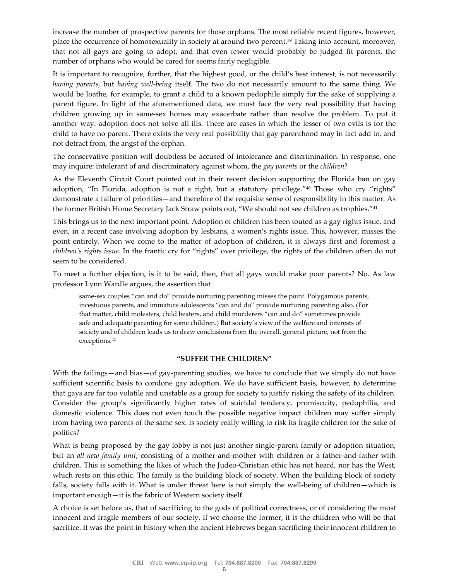increase the number of prospective parents for those orphans. The most reliable recent figures, however, place the occurrence of homosexuality in society at around two percent.<sup>39</sup> Taking into account, moreover, that not all gays are going to adopt, and that even fewer would probably be judged fit parents, the number of orphans who would be cared for seems fairly negligible.

It is important to recognize, further, that the highest good, or the child's best interest, is not necessarily *having parents*, but *having well-being* itself. The two do not necessarily amount to the same thing. We would be loathe, for example, to grant a child to a known pedophile simply for the sake of supplying a parent figure. In light of the aforementioned data, we must face the very real possibility that having children growing up in same-sex homes may exacerbate rather than resolve the problem. To put it another way: adoption does not solve all ills. There are cases in which the lesser of two evils is for the child to have no parent. There exists the very real possibility that gay parenthood may in fact add to, and not detract from, the angst of the orphan.

The conservative position will doubtless be accused of intolerance and discrimination. In response, one may inquire: intolerant of and discriminatory against whom, the *gay parents* or the *children*?

As the Eleventh Circuit Court pointed out in their recent decision supporting the Florida ban on gay adoption, "In Florida, adoption is not a right, but a statutory privilege."<sup>40</sup> Those who cry "rights" demonstrate a failure of priorities—and therefore of the requisite sense of responsibility in this matter. As the former British Home Secretary Jack Straw points out, "We should not see children as trophies."<sup>41</sup>

This brings us to the next important point. Adoption of children has been touted as a gay rights issue, and even, in a recent case involving adoption by lesbians, a women's rights issue. This, however, misses the point entirely. When we come to the matter of adoption of children, it is always first and foremost a *children's rights issue*. In the frantic cry for "rights" over privilege, the rights of the children often do not seem to be considered.

To meet a further objection, is it to be said, then, that all gays would make poor parents? No. As law professor Lynn Wardle argues, the assertion that

same-sex couples "can and do" provide nurturing parenting misses the point. Polygamous parents, incestuous parents, and immature adolescents "can and do" provide nurturing parenting also. (For that matter, child molesters, child beaters, and child murderers "can and do" sometimes provide safe and adequate parenting for some children.) But society's view of the welfare and interests of society and of children leads us to draw conclusions from the overall, general picture, not from the exceptions.<sup>42</sup>

#### **"SUFFER THE CHILDREN"**

With the failings—and bias—of gay-parenting studies, we have to conclude that we simply do not have sufficient scientific basis to condone gay adoption. We do have sufficient basis, however, to determine that gays are far too volatile and unstable as a group for society to justify risking the safety of its children. Consider the group's significantly higher rates of suicidal tendency, promiscuity, pedophilia, and domestic violence. This does not even touch the possible negative impact children may suffer simply from having two parents of the same sex. Is society really willing to risk its fragile children for the sake of politics?

What is being proposed by the gay lobby is not just another single-parent family or adoption situation, but an *all-new family unit*, consisting of a mother-and-mother with children or a father-and-father with children. This is something the likes of which the Judeo-Christian ethic has not heard, nor has the West, which rests on this ethic. The family is the building block of society. When the building block of society falls, society falls with it. What is under threat here is not simply the well-being of children—which is important enough—it is the fabric of Western society itself.

A choice is set before us, that of sacrificing to the gods of political correctness, or of considering the most innocent and fragile members of our society. If we choose the former, it is the children who will be that sacrifice. It was the point in history when the ancient Hebrews began sacrificing their innocent children to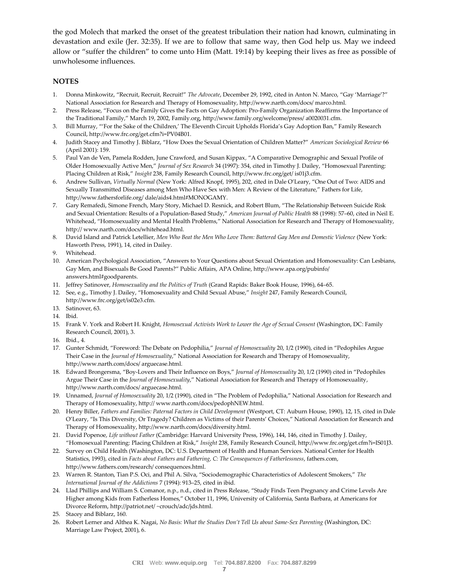the god Molech that marked the onset of the greatest tribulation their nation had known, culminating in devastation and exile (Jer. 32:35). If we are to follow that same way, then God help us. May we indeed allow or "suffer the children" to come unto Him (Matt. 19:14) by keeping their lives as free as possible of unwholesome influences.

# **NOTES**

- 1. Donna Minkowitz, "Recruit, Recruit, Recruit!" *The Advocate*, December 29, 1992, cited in Anton N. Marco, "Gay 'Marriage'?" National Association for Research and Therapy of Homosexuality, http://www.narth.com/docs/ marco.html.
- 2. Press Release, "Focus on the Family Gives the Facts on Gay Adoption: Pro-Family Organization Reaffirms the Importance of the Traditional Family," March 19, 2002, Family.org, http://www.family.org/welcome/press/ a0020031.cfm.
- 3. Bill Murray, "'For the Sake of the Children,' The Eleventh Circuit Upholds Florida's Gay Adoption Ban," Family Research Council, http://www.frc.org/get.cfm?i=PV04B01.
- 4. Judith Stacey and Timothy J. Biblarz, "How Does the Sexual Orientation of Children Matter?" *American Sociological Review* 66 (April 2001): 159.
- 5. Paul Van de Ven, Pamela Rodden, June Crawford, and Susan Kippax, "A Comparative Demographic and Sexual Profile of Older Homosexually Active Men," *Journal of Sex Research* 34 (1997): 354, cited in Timothy J. Dailey, "Homosexual Parenting: Placing Children at Risk," *Insight* 238, Family Research Council, http://www.frc.org/get/ is01j3.cfm.
- 6. Andrew Sullivan, *Virtually Normal* (New York: Alfred Knopf, 1995), 202, cited in Dale O'Leary, "One Out of Two: AIDS and Sexually Transmitted Diseases among Men Who Have Sex with Men: A Review of the Literature," Fathers for Life, http://www.fathersforlife.org/ dale/aids4.html#MONOGAMY.
- 7. Gary Remafedi, Simone French, Mary Story, Michael D. Resnick, and Robert Blum, "The Relationship Between Suicide Risk and Sexual Orientation: Results of a Population-Based Study," *American Journal of Public Health* 88 (1998): 57–60, cited in Neil E. Whitehead, "Homosexuality and Mental Health Problems," National Association for Research and Therapy of Homosexuality, http:// www.narth.com/docs/whitehead.html.
- 8. David Island and Patrick Letellier, *Men Who Beat the Men Who Love Them: Battered Gay Men and Domestic Violence* (New York: Haworth Press, 1991), 14, cited in Dailey.
- 9. Whitehead.
- 10. American Psychological Association, "Answers to Your Questions about Sexual Orientation and Homosexuality: Can Lesbians, Gay Men, and Bisexuals Be Good Parents?" Public Affairs, APA Online, http://www.apa.org/pubinfo/ answers.html#goodparents.
- 11. Jeffrey Satinover, *Homosexuality and the Politics of Truth* (Grand Rapids: Baker Book House, 1996), 64–65.
- 12. See, e.g., Timothy J. Dailey, "Homosexuality and Child Sexual Abuse," *Insight* 247, Family Research Council, http://www.frc.org/get/is02e3.cfm.
- 13. Satinover, 63.
- 14. Ibid.
- 15. Frank V. York and Robert H. Knight, *Homosexual Activists Work to Lower the Age of Sexual Consent* (Washington, DC: Family Research Council, 2001), 3.
- 16. Ibid., 4.
- 17. Gunter Schmidt, "Foreword: The Debate on Pedophilia," *Journal of Homosexuality* 20, 1/2 (1990), cited in "Pedophiles Argue Their Case in the *Journal of Homosexuality*," National Association for Research and Therapy of Homosexuality, http://www.narth.com/docs/ arguecase.html.
- 18. Edward Brongersma, "Boy-Lovers and Their Influence on Boys," *Journal of Homosexuality* 20, 1/2 (1990) cited in "Pedophiles Argue Their Case in the *Journal of Homosexuality*," National Association for Research and Therapy of Homosexuality, http://www.narth.com/docs/ arguecase.html.
- 19. Unnamed, *Journal of Homosexuality* 20, 1/2 (1990), cited in "The Problem of Pedophilia," National Association for Research and Therapy of Homosexuality, http:// www.narth.com/docs/pedophNEW.html.
- 20. Henry Biller, *Fathers and Families: Paternal Factors in Child Development* (Westport, CT: Auburn House, 1990), 12, 15, cited in Dale O'Leary, "Is This Diversity, Or Tragedy? Children as Victims of their Parents' Choices," National Association for Research and Therapy of Homosexuality, http://www.narth.com/docs/diversity.html.
- 21. David Popenoe, *Life without Father* (Cambridge: Harvard University Press, 1996), 144, 146, cited in Timothy J. Dailey, "Homosexual Parenting: Placing Children at Risk," *Insight* 238, Family Research Council, http://www.frc.org/get.cfm?i=IS01J3.
- 22. Survey on Child Health (Washington, DC: U.S. Department of Health and Human Services. National Center for Health Statistics, 1993), cited in *Facts about Fathers and Fathering, C: The Consequences of Fatherlessness*, fathers.com, http://www.fathers.com/research/ consequences.html.
- 23. Warren R. Stanton, Tian P.S. Oci, and Phil A. Silva, "Sociodemographic Characteristics of Adolescent Smokers," *The International Journal of the Addictions* 7 (1994): 913–25, cited in ibid.
- 24. Llad Phillips and William S. Comanor, n.p., n.d., cited in Press Release, "Study Finds Teen Pregnancy and Crime Levels Are Higher among Kids from Fatherless Homes," October 11, 1996, University of California, Santa Barbara, at Americans for Divorce Reform, http://patriot.net/ ~crouch/adc/jds.html.
- 25. Stacey and Biblarz, 160.
- 26. Robert Lerner and Althea K. Nagai, *No Basis: What the Studies Don't Tell Us about Same-Sex Parenting* (Washington, DC: Marriage Law Project, 2001), 6.